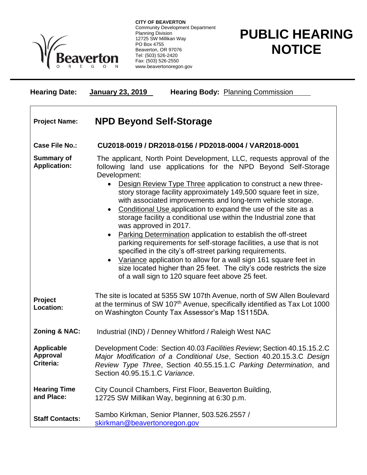

**CITY OF BEAVERTON** Community Development Department Planning Division 12725 SW Millikan Way PO Box 4755 Beaverton, OR 97076 Tel: (503) 526-2420 Fax: (503) 526-2550 www.beavertonoregon.gov

## **PUBLIC HEARING NOTICE**

| <b>Hearing Date:</b>                       | <b>Hearing Body: Planning Commission</b><br><b>January 23, 2019</b>                                                                                                                                                                                                                                                                                                                                                                                                                                                                                                                                                                                                                                                                                                                                                                                                                                                                                                                     |
|--------------------------------------------|-----------------------------------------------------------------------------------------------------------------------------------------------------------------------------------------------------------------------------------------------------------------------------------------------------------------------------------------------------------------------------------------------------------------------------------------------------------------------------------------------------------------------------------------------------------------------------------------------------------------------------------------------------------------------------------------------------------------------------------------------------------------------------------------------------------------------------------------------------------------------------------------------------------------------------------------------------------------------------------------|
| <b>Project Name:</b>                       | <b>NPD Beyond Self-Storage</b>                                                                                                                                                                                                                                                                                                                                                                                                                                                                                                                                                                                                                                                                                                                                                                                                                                                                                                                                                          |
| <b>Case File No.:</b>                      | CU2018-0019 / DR2018-0156 / PD2018-0004 / VAR2018-0001                                                                                                                                                                                                                                                                                                                                                                                                                                                                                                                                                                                                                                                                                                                                                                                                                                                                                                                                  |
| <b>Summary of</b><br><b>Application:</b>   | The applicant, North Point Development, LLC, requests approval of the<br>following land use applications for the NPD Beyond Self-Storage<br>Development:<br>Design Review Type Three application to construct a new three-<br>$\bullet$<br>story storage facility approximately 149,500 square feet in size,<br>with associated improvements and long-term vehicle storage.<br>Conditional Use application to expand the use of the site as a<br>$\bullet$<br>storage facility a conditional use within the Industrial zone that<br>was approved in 2017.<br>Parking Determination application to establish the off-street<br>$\bullet$<br>parking requirements for self-storage facilities, a use that is not<br>specified in the city's off-street parking requirements.<br>Variance application to allow for a wall sign 161 square feet in<br>$\bullet$<br>size located higher than 25 feet. The city's code restricts the size<br>of a wall sign to 120 square feet above 25 feet. |
| Project<br><b>Location:</b>                | The site is located at 5355 SW 107th Avenue, north of SW Allen Boulevard<br>at the terminus of SW 107 <sup>th</sup> Avenue, specifically identified as Tax Lot 1000<br>on Washington County Tax Assessor's Map 1S115DA.                                                                                                                                                                                                                                                                                                                                                                                                                                                                                                                                                                                                                                                                                                                                                                 |
| <b>Zoning &amp; NAC:</b>                   | Industrial (IND) / Denney Whitford / Raleigh West NAC                                                                                                                                                                                                                                                                                                                                                                                                                                                                                                                                                                                                                                                                                                                                                                                                                                                                                                                                   |
| <b>Applicable</b><br>Approval<br>Criteria: | Development Code: Section 40.03 Facilities Review; Section 40.15.15.2.C<br>Major Modification of a Conditional Use, Section 40.20.15.3.C Design<br>Review Type Three, Section 40.55.15.1.C Parking Determination, and<br>Section 40.95.15.1.C Variance.                                                                                                                                                                                                                                                                                                                                                                                                                                                                                                                                                                                                                                                                                                                                 |
| <b>Hearing Time</b><br>and Place:          | City Council Chambers, First Floor, Beaverton Building,<br>12725 SW Millikan Way, beginning at 6:30 p.m.                                                                                                                                                                                                                                                                                                                                                                                                                                                                                                                                                                                                                                                                                                                                                                                                                                                                                |
| <b>Staff Contacts:</b>                     | Sambo Kirkman, Senior Planner, 503.526.2557 /<br>skirkman@beavertonoregon.gov                                                                                                                                                                                                                                                                                                                                                                                                                                                                                                                                                                                                                                                                                                                                                                                                                                                                                                           |